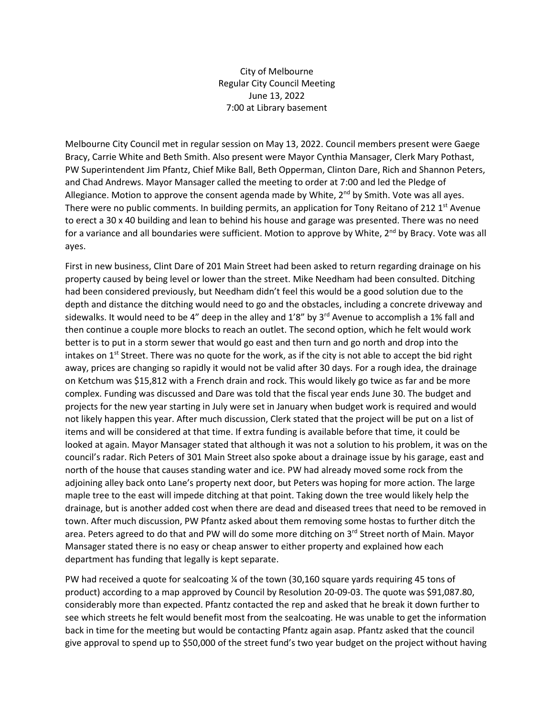City of Melbourne Regular City Council Meeting June 13, 2022 7:00 at Library basement

Melbourne City Council met in regular session on May 13, 2022. Council members present were Gaege Bracy, Carrie White and Beth Smith. Also present were Mayor Cynthia Mansager, Clerk Mary Pothast, PW Superintendent Jim Pfantz, Chief Mike Ball, Beth Opperman, Clinton Dare, Rich and Shannon Peters, and Chad Andrews. Mayor Mansager called the meeting to order at 7:00 and led the Pledge of Allegiance. Motion to approve the consent agenda made by White,  $2<sup>nd</sup>$  by Smith. Vote was all ayes. There were no public comments. In building permits, an application for Tony Reitano of 212  $1<sup>st</sup>$  Avenue to erect a 30 x 40 building and lean to behind his house and garage was presented. There was no need for a variance and all boundaries were sufficient. Motion to approve by White, 2<sup>nd</sup> by Bracy. Vote was all ayes.

First in new business, Clint Dare of 201 Main Street had been asked to return regarding drainage on his property caused by being level or lower than the street. Mike Needham had been consulted. Ditching had been considered previously, but Needham didn't feel this would be a good solution due to the depth and distance the ditching would need to go and the obstacles, including a concrete driveway and sidewalks. It would need to be 4" deep in the alley and 1'8" by  $3^{rd}$  Avenue to accomplish a 1% fall and then continue a couple more blocks to reach an outlet. The second option, which he felt would work better is to put in a storm sewer that would go east and then turn and go north and drop into the intakes on  $1<sup>st</sup>$  Street. There was no quote for the work, as if the city is not able to accept the bid right away, prices are changing so rapidly it would not be valid after 30 days. For a rough idea, the drainage on Ketchum was \$15,812 with a French drain and rock. This would likely go twice as far and be more complex. Funding was discussed and Dare was told that the fiscal year ends June 30. The budget and projects for the new year starting in July were set in January when budget work is required and would not likely happen this year. After much discussion, Clerk stated that the project will be put on a list of items and will be considered at that time. If extra funding is available before that time, it could be looked at again. Mayor Mansager stated that although it was not a solution to his problem, it was on the council's radar. Rich Peters of 301 Main Street also spoke about a drainage issue by his garage, east and north of the house that causes standing water and ice. PW had already moved some rock from the adjoining alley back onto Lane's property next door, but Peters was hoping for more action. The large maple tree to the east will impede ditching at that point. Taking down the tree would likely help the drainage, but is another added cost when there are dead and diseased trees that need to be removed in town. After much discussion, PW Pfantz asked about them removing some hostas to further ditch the area. Peters agreed to do that and PW will do some more ditching on 3<sup>rd</sup> Street north of Main. Mayor Mansager stated there is no easy or cheap answer to either property and explained how each department has funding that legally is kept separate.

PW had received a quote for sealcoating ¼ of the town (30,160 square yards requiring 45 tons of product) according to a map approved by Council by Resolution 20-09-03. The quote was \$91,087.80, considerably more than expected. Pfantz contacted the rep and asked that he break it down further to see which streets he felt would benefit most from the sealcoating. He was unable to get the information back in time for the meeting but would be contacting Pfantz again asap. Pfantz asked that the council give approval to spend up to \$50,000 of the street fund's two year budget on the project without having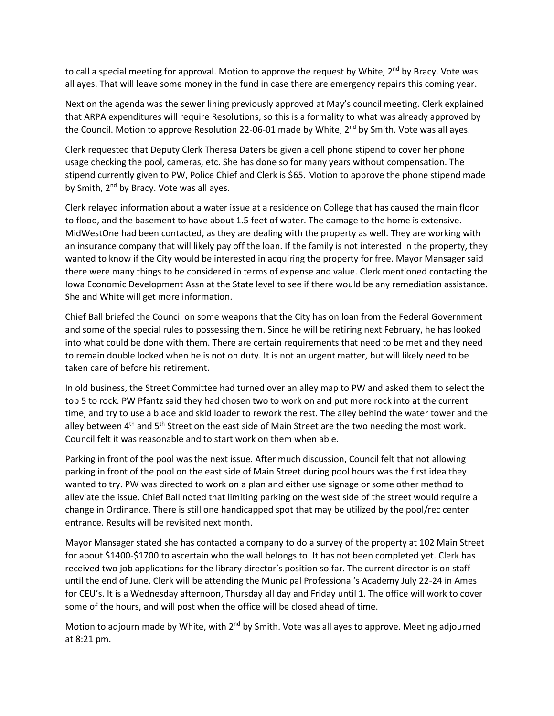to call a special meeting for approval. Motion to approve the request by White,  $2^{nd}$  by Bracy. Vote was all ayes. That will leave some money in the fund in case there are emergency repairs this coming year.

Next on the agenda was the sewer lining previously approved at May's council meeting. Clerk explained that ARPA expenditures will require Resolutions, so this is a formality to what was already approved by the Council. Motion to approve Resolution 22-06-01 made by White, 2<sup>nd</sup> by Smith. Vote was all ayes.

Clerk requested that Deputy Clerk Theresa Daters be given a cell phone stipend to cover her phone usage checking the pool, cameras, etc. She has done so for many years without compensation. The stipend currently given to PW, Police Chief and Clerk is \$65. Motion to approve the phone stipend made by Smith, 2<sup>nd</sup> by Bracy. Vote was all ayes.

Clerk relayed information about a water issue at a residence on College that has caused the main floor to flood, and the basement to have about 1.5 feet of water. The damage to the home is extensive. MidWestOne had been contacted, as they are dealing with the property as well. They are working with an insurance company that will likely pay off the loan. If the family is not interested in the property, they wanted to know if the City would be interested in acquiring the property for free. Mayor Mansager said there were many things to be considered in terms of expense and value. Clerk mentioned contacting the Iowa Economic Development Assn at the State level to see if there would be any remediation assistance. She and White will get more information.

Chief Ball briefed the Council on some weapons that the City has on loan from the Federal Government and some of the special rules to possessing them. Since he will be retiring next February, he has looked into what could be done with them. There are certain requirements that need to be met and they need to remain double locked when he is not on duty. It is not an urgent matter, but will likely need to be taken care of before his retirement.

In old business, the Street Committee had turned over an alley map to PW and asked them to select the top 5 to rock. PW Pfantz said they had chosen two to work on and put more rock into at the current time, and try to use a blade and skid loader to rework the rest. The alley behind the water tower and the alley between 4<sup>th</sup> and 5<sup>th</sup> Street on the east side of Main Street are the two needing the most work. Council felt it was reasonable and to start work on them when able.

Parking in front of the pool was the next issue. After much discussion, Council felt that not allowing parking in front of the pool on the east side of Main Street during pool hours was the first idea they wanted to try. PW was directed to work on a plan and either use signage or some other method to alleviate the issue. Chief Ball noted that limiting parking on the west side of the street would require a change in Ordinance. There is still one handicapped spot that may be utilized by the pool/rec center entrance. Results will be revisited next month.

Mayor Mansager stated she has contacted a company to do a survey of the property at 102 Main Street for about \$1400-\$1700 to ascertain who the wall belongs to. It has not been completed yet. Clerk has received two job applications for the library director's position so far. The current director is on staff until the end of June. Clerk will be attending the Municipal Professional's Academy July 22-24 in Ames for CEU's. It is a Wednesday afternoon, Thursday all day and Friday until 1. The office will work to cover some of the hours, and will post when the office will be closed ahead of time.

Motion to adjourn made by White, with 2<sup>nd</sup> by Smith. Vote was all ayes to approve. Meeting adjourned at 8:21 pm.